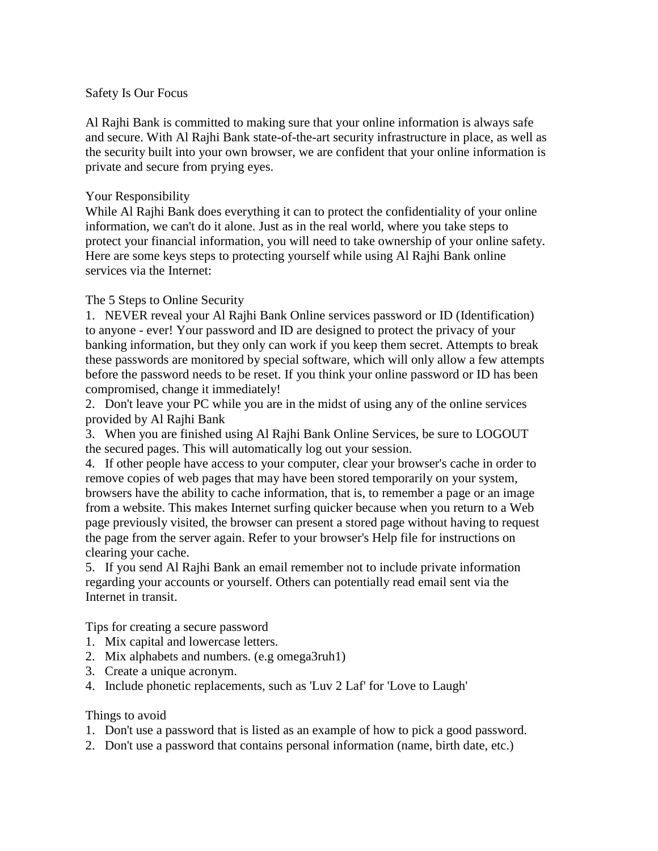#### Safety Is Our Focus

Al Rajhi Bank is committed to making sure that your online information is always safe and secure. With Al Rajhi Bank state-of-the-art security infrastructure in place, as well as the security built into your own browser, we are confident that your online information is private and secure from prying eyes.

#### Your Responsibility

While Al Rajhi Bank does everything it can to protect the confidentiality of your online information, we can't do it alone. Just as in the real world, where you take steps to protect your financial information, you will need to take ownership of your online safety. Here are some keys steps to protecting yourself while using Al Rajhi Bank online services via the Internet:

# The 5 Steps to Online Security

1. NEVER reveal your Al Rajhi Bank Online services password or ID (Identification) to anyone - ever! Your password and ID are designed to protect the privacy of your banking information, but they only can work if you keep them secret. Attempts to break these passwords are monitored by special software, which will only allow a few attempts before the password needs to be reset. If you think your online password or ID has been compromised, change it immediately!

2. Don't leave your PC while you are in the midst of using any of the online services provided by Al Rajhi Bank

3. When you are finished using Al Rajhi Bank Online Services, be sure to LOGOUT the secured pages. This will automatically log out your session.

4. If other people have access to your computer, clear your browser's cache in order to remove copies of web pages that may have been stored temporarily on your system, browsers have the ability to cache information, that is, to remember a page or an image from a website. This makes Internet surfing quicker because when you return to a Web page previously visited, the browser can present a stored page without having to request the page from the server again. Refer to your browser's Help file for instructions on clearing your cache.

5. If you send Al Rajhi Bank an email remember not to include private information regarding your accounts or yourself. Others can potentially read email sent via the Internet in transit.

Tips for creating a secure password

- 1. Mix capital and lowercase letters.
- 2. Mix alphabets and numbers. (e.g omega3ruh1)
- 3. Create a unique acronym.
- 4. Include phonetic replacements, such as 'Luv 2 Laf' for 'Love to Laugh'

### Things to avoid

- 1. Don't use a password that is listed as an example of how to pick a good password.
- 2. Don't use a password that contains personal information (name, birth date, etc.)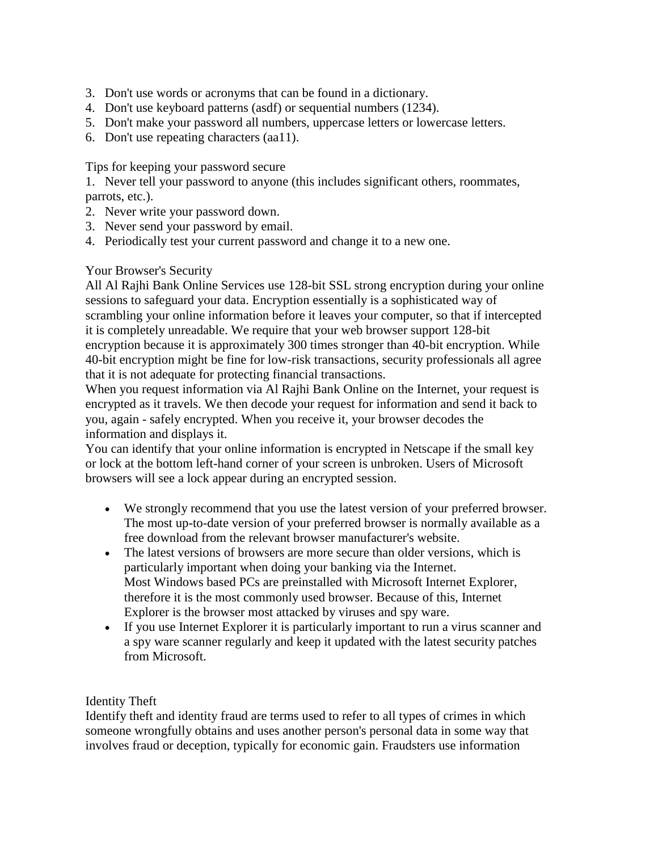- 3. Don't use words or acronyms that can be found in a dictionary.
- 4. Don't use keyboard patterns (asdf) or sequential numbers (1234).
- 5. Don't make your password all numbers, uppercase letters or lowercase letters.
- 6. Don't use repeating characters (aa11).

Tips for keeping your password secure

1. Never tell your password to anyone (this includes significant others, roommates, parrots, etc.).

- 2. Never write your password down.
- 3. Never send your password by email.
- 4. Periodically test your current password and change it to a new one.

# Your Browser's Security

All Al Rajhi Bank Online Services use 128-bit SSL strong encryption during your online sessions to safeguard your data. Encryption essentially is a sophisticated way of scrambling your online information before it leaves your computer, so that if intercepted it is completely unreadable. We require that your web browser support 128-bit encryption because it is approximately 300 times stronger than 40-bit encryption. While 40-bit encryption might be fine for low-risk transactions, security professionals all agree that it is not adequate for protecting financial transactions.

When you request information via Al Rajhi Bank Online on the Internet, your request is encrypted as it travels. We then decode your request for information and send it back to you, again - safely encrypted. When you receive it, your browser decodes the information and displays it.

You can identify that your online information is encrypted in Netscape if the small key or lock at the bottom left-hand corner of your screen is unbroken. Users of Microsoft browsers will see a lock appear during an encrypted session.

- We strongly recommend that you use the latest version of your preferred browser. The most up-to-date version of your preferred browser is normally available as a free download from the relevant browser manufacturer's website.
- The latest versions of browsers are more secure than older versions, which is particularly important when doing your banking via the Internet. Most Windows based PCs are preinstalled with Microsoft Internet Explorer, therefore it is the most commonly used browser. Because of this, Internet Explorer is the browser most attacked by viruses and spy ware.
- If you use Internet Explorer it is particularly important to run a virus scanner and a spy ware scanner regularly and keep it updated with the latest security patches from Microsoft.

# Identity Theft

Identify theft and identity fraud are terms used to refer to all types of crimes in which someone wrongfully obtains and uses another person's personal data in some way that involves fraud or deception, typically for economic gain. Fraudsters use information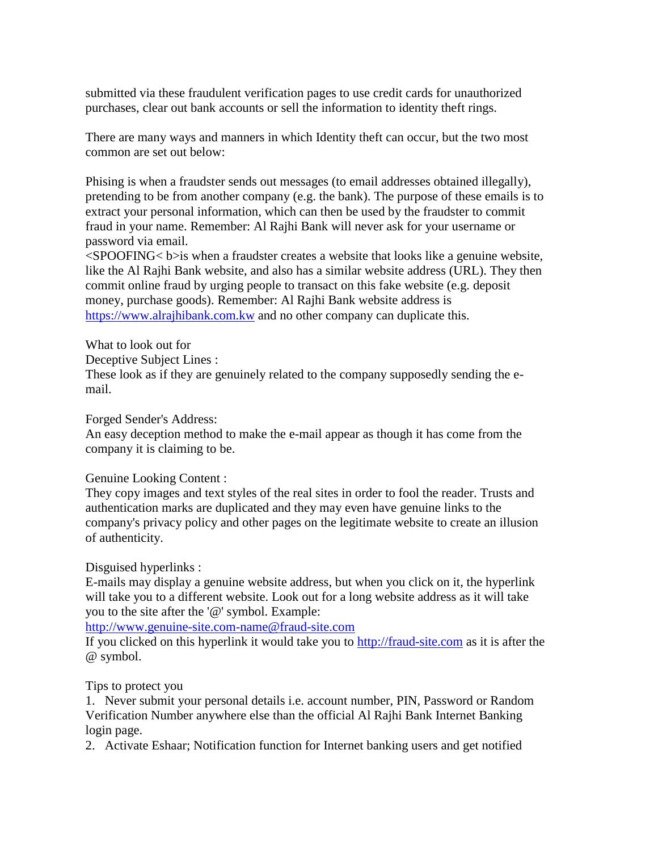submitted via these fraudulent verification pages to use credit cards for unauthorized purchases, clear out bank accounts or sell the information to identity theft rings.

There are many ways and manners in which Identity theft can occur, but the two most common are set out below:

Phising is when a fraudster sends out messages (to email addresses obtained illegally), pretending to be from another company (e.g. the bank). The purpose of these emails is to extract your personal information, which can then be used by the fraudster to commit fraud in your name. Remember: Al Rajhi Bank will never ask for your username or password via email.

 $\leq$ SPOOFING $\leq$  b>is when a fraudster creates a website that looks like a genuine website, like the Al Rajhi Bank website, and also has a similar website address (URL). They then commit online fraud by urging people to transact on this fake website (e.g. deposit money, purchase goods). Remember: Al Rajhi Bank website address is [https://www.alrajhibank.com.kw](https://www.alrajhibank.com.kw/) and no other company can duplicate this.

What to look out for Deceptive Subject Lines : These look as if they are genuinely related to the company supposedly sending the email.

Forged Sender's Address:

An easy deception method to make the e-mail appear as though it has come from the company it is claiming to be.

### Genuine Looking Content :

They copy images and text styles of the real sites in order to fool the reader. Trusts and authentication marks are duplicated and they may even have genuine links to the company's privacy policy and other pages on the legitimate website to create an illusion of authenticity.

Disguised hyperlinks :

E-mails may display a genuine website address, but when you click on it, the hyperlink will take you to a different website. Look out for a long website address as it will take you to the site after the '@' symbol. Example:

[http://www.genuine-site.com-name@fraud-site.com](http://www.genuine-site.com-name@fraud-site.com/) 

If you clicked on this hyperlink it would take you to [http://fraud-site.com](http://fraud-site.com/) as it is after the @ symbol.

### Tips to protect you

1. Never submit your personal details i.e. account number, PIN, Password or Random Verification Number anywhere else than the official Al Rajhi Bank Internet Banking login page.

2. Activate Eshaar; Notification function for Internet banking users and get notified